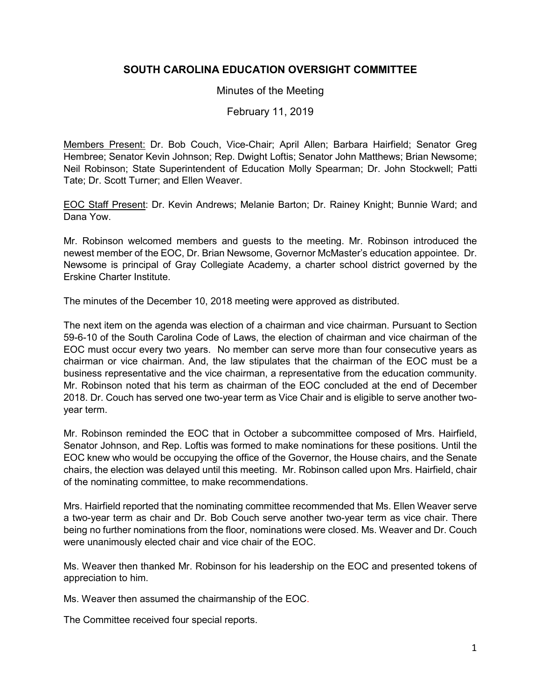# **SOUTH CAROLINA EDUCATION OVERSIGHT COMMITTEE**

#### Minutes of the Meeting

February 11, 2019

Members Present: Dr. Bob Couch, Vice-Chair; April Allen; Barbara Hairfield; Senator Greg Hembree; Senator Kevin Johnson; Rep. Dwight Loftis; Senator John Matthews; Brian Newsome; Neil Robinson; State Superintendent of Education Molly Spearman; Dr. John Stockwell; Patti Tate; Dr. Scott Turner; and Ellen Weaver.

EOC Staff Present: Dr. Kevin Andrews; Melanie Barton; Dr. Rainey Knight; Bunnie Ward; and Dana Yow.

Mr. Robinson welcomed members and guests to the meeting. Mr. Robinson introduced the newest member of the EOC, Dr. Brian Newsome, Governor McMaster's education appointee. Dr. Newsome is principal of Gray Collegiate Academy, a charter school district governed by the Erskine Charter Institute.

The minutes of the December 10, 2018 meeting were approved as distributed.

The next item on the agenda was election of a chairman and vice chairman. Pursuant to Section 59-6-10 of the South Carolina Code of Laws, the election of chairman and vice chairman of the EOC must occur every two years. No member can serve more than four consecutive years as chairman or vice chairman. And, the law stipulates that the chairman of the EOC must be a business representative and the vice chairman, a representative from the education community. Mr. Robinson noted that his term as chairman of the EOC concluded at the end of December 2018. Dr. Couch has served one two-year term as Vice Chair and is eligible to serve another twoyear term.

Mr. Robinson reminded the EOC that in October a subcommittee composed of Mrs. Hairfield, Senator Johnson, and Rep. Loftis was formed to make nominations for these positions. Until the EOC knew who would be occupying the office of the Governor, the House chairs, and the Senate chairs, the election was delayed until this meeting. Mr. Robinson called upon Mrs. Hairfield, chair of the nominating committee, to make recommendations.

Mrs. Hairfield reported that the nominating committee recommended that Ms. Ellen Weaver serve a two-year term as chair and Dr. Bob Couch serve another two-year term as vice chair. There being no further nominations from the floor, nominations were closed. Ms. Weaver and Dr. Couch were unanimously elected chair and vice chair of the EOC.

Ms. Weaver then thanked Mr. Robinson for his leadership on the EOC and presented tokens of appreciation to him.

Ms. Weaver then assumed the chairmanship of the EOC.

The Committee received four special reports.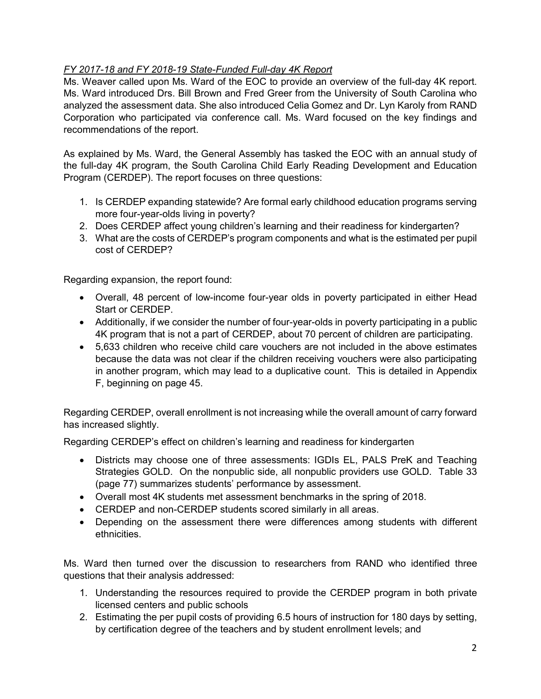# *FY 2017-18 and FY 2018-19 State-Funded Full-day 4K Report*

Ms. Weaver called upon Ms. Ward of the EOC to provide an overview of the full-day 4K report. Ms. Ward introduced Drs. Bill Brown and Fred Greer from the University of South Carolina who analyzed the assessment data. She also introduced Celia Gomez and Dr. Lyn Karoly from RAND Corporation who participated via conference call. Ms. Ward focused on the key findings and recommendations of the report.

As explained by Ms. Ward, the General Assembly has tasked the EOC with an annual study of the full-day 4K program, the South Carolina Child Early Reading Development and Education Program (CERDEP). The report focuses on three questions:

- 1. Is CERDEP expanding statewide? Are formal early childhood education programs serving more four-year-olds living in poverty?
- 2. Does CERDEP affect young children's learning and their readiness for kindergarten?
- 3. What are the costs of CERDEP's program components and what is the estimated per pupil cost of CERDEP?

Regarding expansion, the report found:

- Overall, 48 percent of low-income four-year olds in poverty participated in either Head Start or CERDEP.
- Additionally, if we consider the number of four-year-olds in poverty participating in a public 4K program that is not a part of CERDEP, about 70 percent of children are participating.
- 5,633 children who receive child care vouchers are not included in the above estimates because the data was not clear if the children receiving vouchers were also participating in another program, which may lead to a duplicative count. This is detailed in Appendix F, beginning on page 45.

Regarding CERDEP, overall enrollment is not increasing while the overall amount of carry forward has increased slightly.

Regarding CERDEP's effect on children's learning and readiness for kindergarten

- Districts may choose one of three assessments: IGDIs EL, PALS PreK and Teaching Strategies GOLD. On the nonpublic side, all nonpublic providers use GOLD. Table 33 (page 77) summarizes students' performance by assessment.
- Overall most 4K students met assessment benchmarks in the spring of 2018.
- CERDEP and non-CERDEP students scored similarly in all areas.
- Depending on the assessment there were differences among students with different ethnicities.

Ms. Ward then turned over the discussion to researchers from RAND who identified three questions that their analysis addressed:

- 1. Understanding the resources required to provide the CERDEP program in both private licensed centers and public schools
- 2. Estimating the per pupil costs of providing 6.5 hours of instruction for 180 days by setting, by certification degree of the teachers and by student enrollment levels; and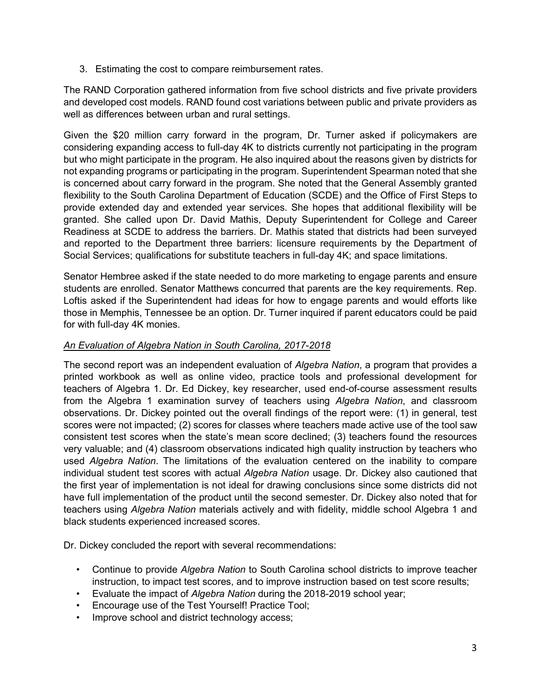3. Estimating the cost to compare reimbursement rates.

The RAND Corporation gathered information from five school districts and five private providers and developed cost models. RAND found cost variations between public and private providers as well as differences between urban and rural settings.

Given the \$20 million carry forward in the program, Dr. Turner asked if policymakers are considering expanding access to full-day 4K to districts currently not participating in the program but who might participate in the program. He also inquired about the reasons given by districts for not expanding programs or participating in the program. Superintendent Spearman noted that she is concerned about carry forward in the program. She noted that the General Assembly granted flexibility to the South Carolina Department of Education (SCDE) and the Office of First Steps to provide extended day and extended year services. She hopes that additional flexibility will be granted. She called upon Dr. David Mathis, Deputy Superintendent for College and Career Readiness at SCDE to address the barriers. Dr. Mathis stated that districts had been surveyed and reported to the Department three barriers: licensure requirements by the Department of Social Services; qualifications for substitute teachers in full-day 4K; and space limitations.

Senator Hembree asked if the state needed to do more marketing to engage parents and ensure students are enrolled. Senator Matthews concurred that parents are the key requirements. Rep. Loftis asked if the Superintendent had ideas for how to engage parents and would efforts like those in Memphis, Tennessee be an option. Dr. Turner inquired if parent educators could be paid for with full-day 4K monies.

#### *An Evaluation of Algebra Nation in South Carolina, 2017-2018*

The second report was an independent evaluation of *Algebra Nation*, a program that provides a printed workbook as well as online video, practice tools and professional development for teachers of Algebra 1. Dr. Ed Dickey, key researcher, used end-of-course assessment results from the Algebra 1 examination survey of teachers using *Algebra Nation*, and classroom observations. Dr. Dickey pointed out the overall findings of the report were: (1) in general, test scores were not impacted; (2) scores for classes where teachers made active use of the tool saw consistent test scores when the state's mean score declined; (3) teachers found the resources very valuable; and (4) classroom observations indicated high quality instruction by teachers who used *Algebra Nation*. The limitations of the evaluation centered on the inability to compare individual student test scores with actual *Algebra Nation* usage. Dr. Dickey also cautioned that the first year of implementation is not ideal for drawing conclusions since some districts did not have full implementation of the product until the second semester. Dr. Dickey also noted that for teachers using *Algebra Nation* materials actively and with fidelity, middle school Algebra 1 and black students experienced increased scores.

Dr. Dickey concluded the report with several recommendations:

- Continue to provide *Algebra Nation* to South Carolina school districts to improve teacher instruction, to impact test scores, and to improve instruction based on test score results;
- Evaluate the impact of *Algebra Nation* during the 2018-2019 school year;
- Encourage use of the Test Yourself! Practice Tool;
- Improve school and district technology access;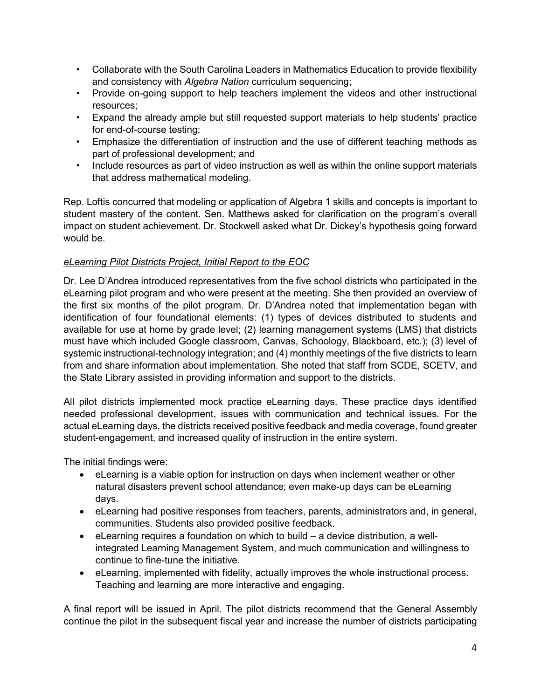- Collaborate with the South Carolina Leaders in Mathematics Education to provide flexibility and consistency with *Algebra Nation* curriculum sequencing;
- Provide on-going support to help teachers implement the videos and other instructional resources;
- Expand the already ample but still requested support materials to help students' practice for end-of-course testing;
- Emphasize the differentiation of instruction and the use of different teaching methods as part of professional development; and
- Include resources as part of video instruction as well as within the online support materials that address mathematical modeling.

Rep. Loftis concurred that modeling or application of Algebra 1 skills and concepts is important to student mastery of the content. Sen. Matthews asked for clarification on the program's overall impact on student achievement. Dr. Stockwell asked what Dr. Dickey's hypothesis going forward would be.

### *eLearning Pilot Districts Project, Initial Report to the EOC*

Dr. Lee D'Andrea introduced representatives from the five school districts who participated in the eLearning pilot program and who were present at the meeting. She then provided an overview of the first six months of the pilot program. Dr. D'Andrea noted that implementation began with identification of four foundational elements: (1) types of devices distributed to students and available for use at home by grade level; (2) learning management systems (LMS) that districts must have which included Google classroom, Canvas, Schoology, Blackboard, etc.); (3) level of systemic instructional-technology integration; and (4) monthly meetings of the five districts to learn from and share information about implementation. She noted that staff from SCDE, SCETV, and the State Library assisted in providing information and support to the districts.

All pilot districts implemented mock practice eLearning days. These practice days identified needed professional development, issues with communication and technical issues. For the actual eLearning days, the districts received positive feedback and media coverage, found greater student-engagement, and increased quality of instruction in the entire system.

The initial findings were:

- eLearning is a viable option for instruction on days when inclement weather or other natural disasters prevent school attendance; even make-up days can be eLearning days.
- eLearning had positive responses from teachers, parents, administrators and, in general, communities. Students also provided positive feedback.
- eLearning requires a foundation on which to build a device distribution, a wellintegrated Learning Management System, and much communication and willingness to continue to fine-tune the initiative.
- eLearning, implemented with fidelity, actually improves the whole instructional process. Teaching and learning are more interactive and engaging.

A final report will be issued in April. The pilot districts recommend that the General Assembly continue the pilot in the subsequent fiscal year and increase the number of districts participating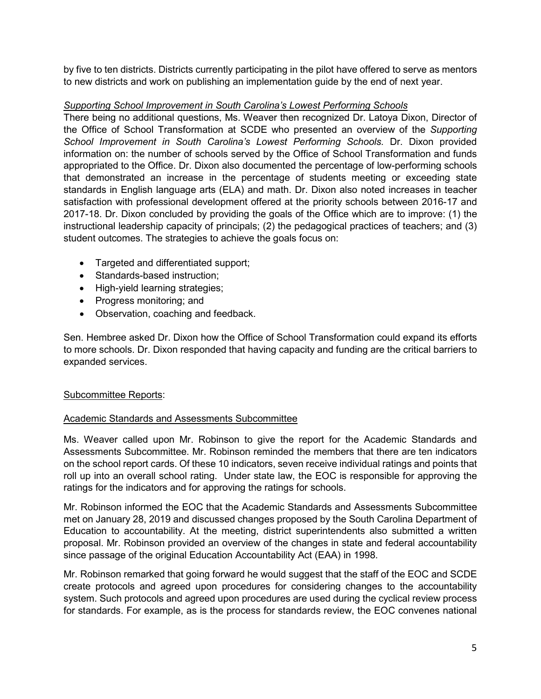by five to ten districts. Districts currently participating in the pilot have offered to serve as mentors to new districts and work on publishing an implementation guide by the end of next year.

### *Supporting School Improvement in South Carolina's Lowest Performing Schools*

There being no additional questions, Ms. Weaver then recognized Dr. Latoya Dixon, Director of the Office of School Transformation at SCDE who presented an overview of the *Supporting School Improvement in South Carolina's Lowest Performing Schools.* Dr. Dixon provided information on: the number of schools served by the Office of School Transformation and funds appropriated to the Office. Dr. Dixon also documented the percentage of low-performing schools that demonstrated an increase in the percentage of students meeting or exceeding state standards in English language arts (ELA) and math. Dr. Dixon also noted increases in teacher satisfaction with professional development offered at the priority schools between 2016-17 and 2017-18. Dr. Dixon concluded by providing the goals of the Office which are to improve: (1) the instructional leadership capacity of principals; (2) the pedagogical practices of teachers; and (3) student outcomes. The strategies to achieve the goals focus on:

- Targeted and differentiated support;
- Standards-based instruction;
- High-yield learning strategies;
- Progress monitoring; and
- Observation, coaching and feedback.

Sen. Hembree asked Dr. Dixon how the Office of School Transformation could expand its efforts to more schools. Dr. Dixon responded that having capacity and funding are the critical barriers to expanded services.

### Subcommittee Reports:

### Academic Standards and Assessments Subcommittee

Ms. Weaver called upon Mr. Robinson to give the report for the Academic Standards and Assessments Subcommittee. Mr. Robinson reminded the members that there are ten indicators on the school report cards. Of these 10 indicators, seven receive individual ratings and points that roll up into an overall school rating. Under state law, the EOC is responsible for approving the ratings for the indicators and for approving the ratings for schools.

Mr. Robinson informed the EOC that the Academic Standards and Assessments Subcommittee met on January 28, 2019 and discussed changes proposed by the South Carolina Department of Education to accountability. At the meeting, district superintendents also submitted a written proposal. Mr. Robinson provided an overview of the changes in state and federal accountability since passage of the original Education Accountability Act (EAA) in 1998.

Mr. Robinson remarked that going forward he would suggest that the staff of the EOC and SCDE create protocols and agreed upon procedures for considering changes to the accountability system. Such protocols and agreed upon procedures are used during the cyclical review process for standards. For example, as is the process for standards review, the EOC convenes national